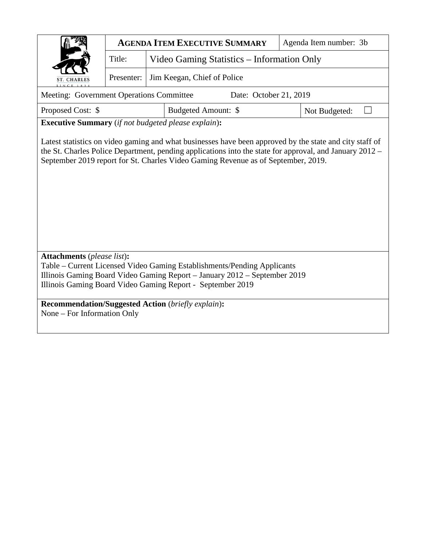|                                                                                                              | <b>AGENDA ITEM EXECUTIVE SUMMARY</b>                       |  | Agenda Item number: 3b                                                                                                                                                                       |               |  |  |  |  |  |  |  |
|--------------------------------------------------------------------------------------------------------------|------------------------------------------------------------|--|----------------------------------------------------------------------------------------------------------------------------------------------------------------------------------------------|---------------|--|--|--|--|--|--|--|
|                                                                                                              | Title:<br>Video Gaming Statistics – Information Only       |  |                                                                                                                                                                                              |               |  |  |  |  |  |  |  |
| Jim Keegan, Chief of Police<br>Presenter:<br>ST. CHARLES<br>I N C E 183                                      |                                                            |  |                                                                                                                                                                                              |               |  |  |  |  |  |  |  |
| Meeting: Government Operations Committee<br>Date: October 21, 2019                                           |                                                            |  |                                                                                                                                                                                              |               |  |  |  |  |  |  |  |
| Proposed Cost: \$                                                                                            |                                                            |  | Budgeted Amount: \$                                                                                                                                                                          | Not Budgeted: |  |  |  |  |  |  |  |
|                                                                                                              | <b>Executive Summary</b> (if not budgeted please explain): |  |                                                                                                                                                                                              |               |  |  |  |  |  |  |  |
|                                                                                                              |                                                            |  | the St. Charles Police Department, pending applications into the state for approval, and January 2012 –<br>September 2019 report for St. Charles Video Gaming Revenue as of September, 2019. |               |  |  |  |  |  |  |  |
| <b>Attachments</b> (please list):<br>Table – Current Licensed Video Gaming Establishments/Pending Applicants |                                                            |  |                                                                                                                                                                                              |               |  |  |  |  |  |  |  |
| Illinois Gaming Board Video Gaming Report - January 2012 - September 2019                                    |                                                            |  |                                                                                                                                                                                              |               |  |  |  |  |  |  |  |
|                                                                                                              |                                                            |  | Illinois Gaming Board Video Gaming Report - September 2019                                                                                                                                   |               |  |  |  |  |  |  |  |
| <b>Recommendation/Suggested Action</b> (briefly explain):<br>None – For Information Only                     |                                                            |  |                                                                                                                                                                                              |               |  |  |  |  |  |  |  |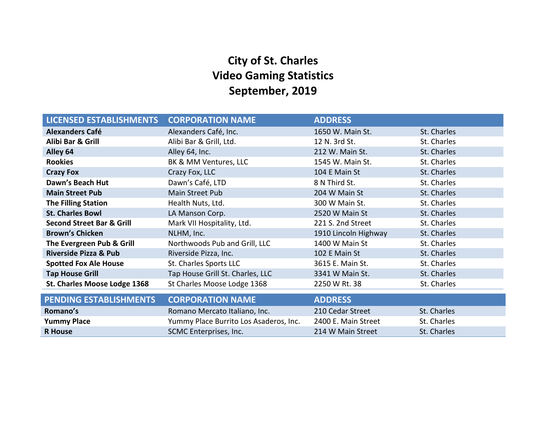# **City of St. Charles Video Gaming Statistics September, 2019**

| <b>LICENSED ESTABLISHMENTS</b>       | <b>CORPORATION NAME</b>                | <b>ADDRESS</b>       |             |
|--------------------------------------|----------------------------------------|----------------------|-------------|
| <b>Alexanders Café</b>               | Alexanders Café, Inc.                  | 1650 W. Main St.     | St. Charles |
| Alibi Bar & Grill                    | Alibi Bar & Grill, Ltd.                | 12 N. 3rd St.        | St. Charles |
| Alley 64                             | Alley 64, Inc.                         | 212 W. Main St.      | St. Charles |
| <b>Rookies</b>                       | BK & MM Ventures, LLC                  | 1545 W. Main St.     | St. Charles |
| <b>Crazy Fox</b>                     | Crazy Fox, LLC                         | 104 E Main St        | St. Charles |
| Dawn's Beach Hut                     | Dawn's Café, LTD                       | 8 N Third St.        | St. Charles |
| <b>Main Street Pub</b>               | <b>Main Street Pub</b>                 | 204 W Main St        | St. Charles |
| <b>The Filling Station</b>           | Health Nuts, Ltd.                      | 300 W Main St.       | St. Charles |
| <b>St. Charles Bowl</b>              | LA Manson Corp.                        | 2520 W Main St       | St. Charles |
| <b>Second Street Bar &amp; Grill</b> | Mark VII Hospitality, Ltd.             | 221 S. 2nd Street    | St. Charles |
| <b>Brown's Chicken</b>               | NLHM, Inc.                             | 1910 Lincoln Highway | St. Charles |
| The Evergreen Pub & Grill            | Northwoods Pub and Grill, LLC          | 1400 W Main St       | St. Charles |
| <b>Riverside Pizza &amp; Pub</b>     | Riverside Pizza, Inc.                  | 102 E Main St        | St. Charles |
| <b>Spotted Fox Ale House</b>         | St. Charles Sports LLC                 | 3615 E. Main St.     | St. Charles |
| <b>Tap House Grill</b>               | Tap House Grill St. Charles, LLC       | 3341 W Main St.      | St. Charles |
| St. Charles Moose Lodge 1368         | St Charles Moose Lodge 1368            | 2250 W Rt. 38        | St. Charles |
| <b>PENDING ESTABLISHMENTS</b>        | <b>CORPORATION NAME</b>                | <b>ADDRESS</b>       |             |
| Romano's                             | Romano Mercato Italiano, Inc.          | 210 Cedar Street     | St. Charles |
| <b>Yummy Place</b>                   | Yummy Place Burrito Los Asaderos, Inc. | 2400 E. Main Street  | St. Charles |
| <b>R</b> House                       | SCMC Enterprises, Inc.                 | 214 W Main Street    | St. Charles |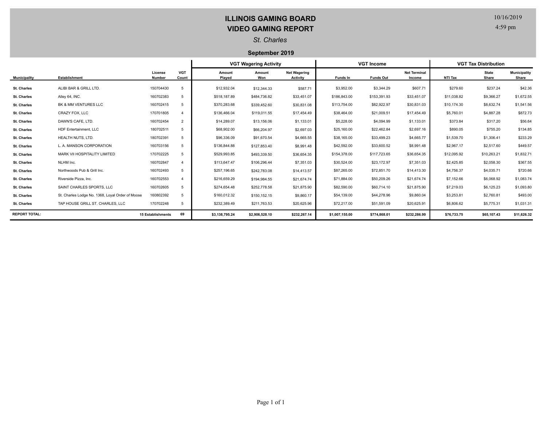## **ILLINOIS GAMING BOARD VIDEO GAMING REPORT**

## 10/16/2019

4:59 pm

#### *St. Charles*

#### **September 2019**

|                      |                                                  |                          |                     | <b>VGT Wagering Activity</b> |                |                                        | <b>VGT Income</b> |                  |                               | <b>VGT Tax Distribution</b> |                       |                              |
|----------------------|--------------------------------------------------|--------------------------|---------------------|------------------------------|----------------|----------------------------------------|-------------------|------------------|-------------------------------|-----------------------------|-----------------------|------------------------------|
| <b>Municipality</b>  | <b>Establishment</b>                             | License<br><b>Number</b> | <b>VGT</b><br>Count | Amount<br>Played             | Amount<br>Won  | <b>Net Wagering</b><br><b>Activity</b> | Funds In          | <b>Funds Out</b> | <b>Net Terminal</b><br>Income | NTI Tax                     | <b>State</b><br>Share | <b>Municipality</b><br>Share |
| <b>St. Charles</b>   | ALIBI BAR & GRILL LTD.                           | 150704430                | 5                   | \$12,932.04                  | \$12,344.33    | \$587.71                               | \$3,952.00        | \$3,344.29       | \$607.71                      | \$279.60                    | \$237.24              | \$42.36                      |
| <b>St. Charles</b>   | Alley 64, INC.                                   | 160702383                | 5                   | \$518,187.89                 | \$484,736.82   | \$33,451.07                            | \$186,843.00      | \$153,391.93     | \$33,451.07                   | \$11,038.82                 | \$9,366.27            | \$1,672.55                   |
| <b>St. Charles</b>   | BK & MM VENTURES LLC                             | 160702415                | 5                   | \$370,283.68                 | \$339,452.60   | \$30,831.08                            | \$113,754.00      | \$82,922.97      | \$30,831.03                   | \$10,174.30                 | \$8,632.74            | \$1,541.56                   |
| <b>St. Charles</b>   | CRAZY FOX, LLC                                   | 170701805                |                     | \$136,466.04                 | \$119,011.55   | \$17,454.49                            | \$38,464.00       | \$21,009.51      | \$17,454.49                   | \$5,760.01                  | \$4,887.28            | \$872.73                     |
| <b>St. Charles</b>   | DAWN'S CAFE, LTD.                                | 160702454                | $\overline{2}$      | \$14,289.07                  | \$13,156.06    | \$1,133.01                             | \$5,228.00        | \$4,094.99       | \$1,133.01                    | \$373.84                    | \$317.20              | \$56.64                      |
| <b>St. Charles</b>   | HDF Entertainment. LLC                           | 180702511                | 5                   | \$68,902.00                  | \$66,204.97    | \$2,697.03                             | \$25,160.00       | \$22,462.84      | \$2,697.16                    | \$890.05                    | \$755.20              | \$134.85                     |
| <b>St. Charles</b>   | HEALTH NUTS, LTD.                                | 180702391                | 5                   | \$96,336.09                  | \$91,670.54    | \$4,665.55                             | \$38,165.00       | \$33,499.23      | \$4,665.77                    | \$1,539.70                  | \$1,306.41            | \$233.29                     |
| St. Charles          | L. A. MANSON CORPORATION                         | 160703156                | 5                   | \$136,844.88                 | \$127,853.40   | \$8,991.48                             | \$42,592.00       | \$33,600.52      | \$8,991.48                    | \$2,967.17                  | \$2,517.60            | \$449.57                     |
| St. Charles          | MARK VII HOSPITALITY LIMITED                     | 170702225                | 5                   | \$529,993.85                 | \$493,339.50   | \$36,654.35                            | \$154,378.00      | \$117,723.65     | \$36,654.35                   | \$12,095.92                 | \$10,263.21           | \$1,832.71                   |
| St. Charles          | NLHM Inc.                                        | 160702847                |                     | \$113,647.47                 | \$106,296.44   | \$7,351.03                             | \$30,524.00       | \$23,172.97      | \$7,351.03                    | \$2,425.85                  | \$2,058.30            | \$367.55                     |
| <b>St. Charles</b>   | Northwoods Pub & Grill Inc.                      | 160702493                | 5                   | \$257,196.65                 | \$242,783.08   | \$14,413.57                            | \$87,265.00       | \$72,851.70      | \$14,413.30                   | \$4,756.37                  | \$4,035.71            | \$720.66                     |
| <b>St. Charles</b>   | Riverside Pizza, Inc.                            | 160702553                |                     | \$216,659.29                 | \$194,984.55   | \$21,674.74                            | \$71,884.00       | \$50,209.26      | \$21,674.74                   | \$7,152.66                  | \$6,068.92            | \$1,083.74                   |
| <b>St. Charles</b>   | SAINT CHARLES SPORTS, LLC                        | 160702605                | 5                   | \$274,654.48                 | \$252,778.58   | \$21,875.90                            | \$82,590.00       | \$60,714.10      | \$21,875.90                   | \$7,219.03                  | \$6,125.23            | \$1,093.80                   |
| <b>St. Charles</b>   | St. Charles Lodge No. 1368, Loyal Order of Moose | 160802392                | 5                   | \$160,012.32                 | \$150,152.15   | \$9,860.17                             | \$54,139.00       | \$44,278.96      | \$9,860.04                    | \$3,253.81                  | \$2,760.81            | \$493.00                     |
| <b>St. Charles</b>   | TAP HOUSE GRILL ST. CHARLES, LLC                 | 170702248                | 5                   | \$232,389.49                 | \$211,763.53   | \$20,625.96                            | \$72,217.00       | \$51,591.09      | \$20,625.91                   | \$6,806.62                  | \$5,775.31            | \$1,031.31                   |
| <b>REPORT TOTAL:</b> |                                                  | <b>15 Establishments</b> | 69                  | \$3,138,795.24               | \$2,906,528.10 | \$232,267.14                           | \$1,007,155.00    | \$774,868.01     | \$232,286.99                  | \$76,733.75                 | \$65,107.43           | \$11,626.32                  |